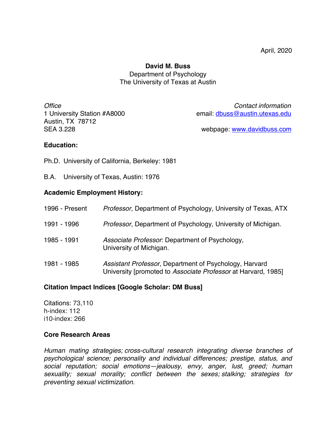# **David M. Buss** Department of Psychology The University of Texas at Austin

Austin, TX 78712

*Office Contact information* 1 University Station #A8000 email: dbuss@austin.utexas.edu

SEA 3.228 webpage: www.davidbuss.com

# **Education:**

Ph.D. University of California, Berkeley: 1981

B.A. University of Texas, Austin: 1976

# **Academic Employment History:**

| 1996 - Present | <i>Professor</i> , Department of Psychology, University of Texas, ATX                                                   |
|----------------|-------------------------------------------------------------------------------------------------------------------------|
| 1991 - 1996    | <i>Professor</i> , Department of Psychology, University of Michigan.                                                    |
| 1985 - 1991    | Associate Professor. Department of Psychology,<br>University of Michigan.                                               |
| 1981 - 1985    | Assistant Professor, Department of Psychology, Harvard<br>University [promoted to Associate Professor at Harvard, 1985] |

# **Citation Impact Indices [Google Scholar: DM Buss]**

Citations: 73,110 h-index: 112 i10-index: 266

# **Core Research Areas**

*Human mating strategies; cross-cultural research integrating diverse branches of psychological science; personality and individual differences; prestige, status, and social reputation; social emotions—jealousy, envy, anger, lust, greed; human sexuality; sexual morality; conflict between the sexes; stalking; strategies for preventing sexual victimization.*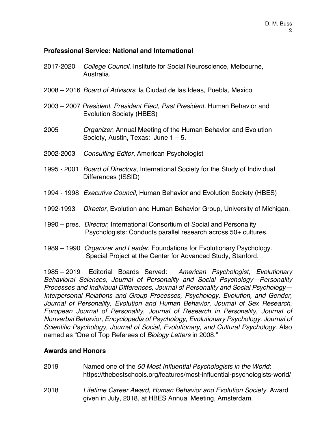# **Professional Service: National and International**

- 2017-2020 *College Council*, Institute for Social Neuroscience, Melbourne, Australia.
- 2008 2016 *Board of Advisors*, la Ciudad de las Ideas, Puebla, Mexico
- 2003 2007 *President*, *President Elect, Past President,* Human Behavior and Evolution Society (HBES)
- 2005 *Organizer*, Annual Meeting of the Human Behavior and Evolution Society, Austin, Texas: June 1 – 5.
- 2002-2003 *Consulting Editor*, American Psychologist
- 1995 2001 *Board of Directors*, International Society for the Study of Individual Differences (ISSID)
- 1994 1998 *Executive Council*, Human Behavior and Evolution Society (HBES)
- 1992-1993 *Director*, Evolution and Human Behavior Group, University of Michigan.
- 1990 pres. *Director*, International Consortium of Social and Personality Psychologists: Conducts parallel research across 50+ cultures.
- 1989 1990 *Organizer and Leader*, Foundations for Evolutionary Psychology. Special Project at the Center for Advanced Study, Stanford.

1985 – 2019 Editorial Boards Served: *American Psychologist, Evolutionary Behavioral Sciences, Journal of Personality and Social Psychology—Personality Processes and Individual Differences, Journal of Personality and Social Psychology— Interpersonal Relations and Group Processes, Psychology, Evolution, and Gender, Journal of Personality, Evolution and Human Behavior, Journal of Sex Research, European Journal of Personality, Journal of Research in Personality, Journal of Nonverbal Behavior, Encyclopedia of Psychology, Evolutionary Psychology, Journal of Scientific Psychology, Journal of Social, Evolutionary, and Cultural Psychology*. Also named as "One of Top Referees of *Biology Letters* in 2008."

# **Awards and Honors**

2019 Named one of the *50 Most Influential Psychologists in the World*: https://thebestschools.org/features/most-influential-psychologists-world/ 2018 *Lifetime Career Award*, *Human Behavior and Evolution Society*. Award given in July, 2018, at HBES Annual Meeting, Amsterdam.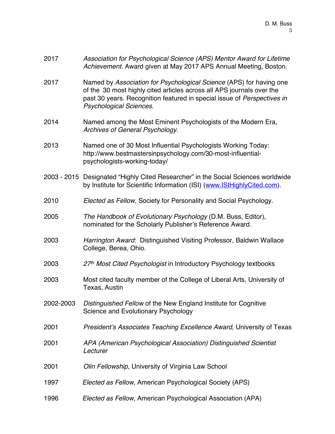| 2017      | Association for Psychological Science (APS) Mentor Award for Lifetime<br>Achievement. Award given at May 2017 APS Annual Meeting, Boston.                                                                                                          |  |
|-----------|----------------------------------------------------------------------------------------------------------------------------------------------------------------------------------------------------------------------------------------------------|--|
| 2017      | Named by Association for Psychological Science (APS) for having one<br>of the 30 most highly cited articles across all APS journals over the<br>past 30 years. Recognition featured in special issue of Perspectives in<br>Psychological Sciences. |  |
| 2014      | Named among the Most Eminent Psychologists of the Modern Era,<br>Archives of General Psychology.                                                                                                                                                   |  |
| 2013      | Named one of 30 Most Influential Psychologists Working Today:<br>http://www.bestmastersinpsychology.com/30-most-influential-<br>psychologists-working-today/                                                                                       |  |
|           | 2003 - 2015 Designated "Highly Cited Researcher" in the Social Sciences worldwide<br>by Institute for Scientific Information (ISI) (www.ISIHighlyCited.com).                                                                                       |  |
| 2010      | Elected as Fellow, Society for Personality and Social Psychology.                                                                                                                                                                                  |  |
| 2005      | The Handbook of Evolutionary Psychology (D.M. Buss, Editor),<br>nominated for the Scholarly Publisher's Reference Award.                                                                                                                           |  |
| 2003      | Harrington Award: Distinguished Visiting Professor, Baldwin Wallace<br>College, Berea, Ohio.                                                                                                                                                       |  |
| 2003      | 27th Most Cited Psychologist in Introductory Psychology textbooks                                                                                                                                                                                  |  |
| 2003      | Most cited faculty member of the College of Liberal Arts, University of<br>Texas, Austin                                                                                                                                                           |  |
| 2002-2003 | Distinguished Fellow of the New England Institute for Cognitive<br>Science and Evolutionary Psychology                                                                                                                                             |  |
| 2001      | President's Associates Teaching Excellence Award, University of Texas                                                                                                                                                                              |  |
| 2001      | APA (American Psychological Association) Distinguished Scientist<br>Lecturer                                                                                                                                                                       |  |
| 2001      | Olin Fellowship, University of Virginia Law School                                                                                                                                                                                                 |  |
| 1997      | Elected as Fellow, American Psychological Society (APS)                                                                                                                                                                                            |  |
| 1996      | Elected as Fellow, American Psychological Association (APA)                                                                                                                                                                                        |  |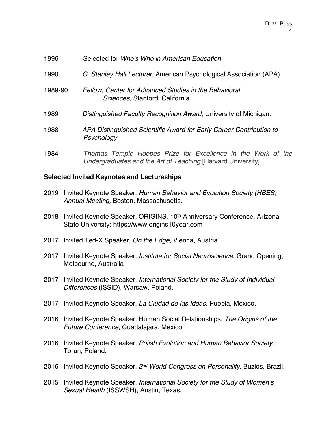| 1996    | Selected for Who's Who in American Education                                             |
|---------|------------------------------------------------------------------------------------------|
| 1990    | G. Stanley Hall Lecturer, American Psychological Association (APA)                       |
| 1989-90 | Fellow, Center for Advanced Studies in the Behavioral<br>Sciences, Stanford, California. |
| 1989    | Distinguished Faculty Recognition Award, University of Michigan.                         |
| 1988    | APA Distinguished Scientific Award for Early Career Contribution to<br>Psychology        |
| 1984    | Thomas Temple Hoopes Prize for Excellence in the Work of the                             |

# **Selected Invited Keynotes and Lectureships**

2019 Invited Keynote Speaker, *Human Behavior and Evolution Society (HBES) Annual Meeting,* Boston, Massachusetts.

*Undergraduates and the Art of Teaching* [Harvard University]

- 2018 Invited Keynote Speaker, ORIGINS, 10<sup>th</sup> Anniversary Conference, Arizona State University: https://www.origins10year.com
- 2017 Invited Ted-X Speaker, *On the Edge*, Vienna, Austria.
- 2017 Invited Keynote Speaker, *Institute for Social Neuroscience*, Grand Opening, Melbourne, Australia
- 2017 Invited Keynote Speaker, *International Society for the Study of Individual Differences* (ISSID), Warsaw, Poland.
- 2017 Invited Keynote Speaker, *La Ciudad de las Ideas*, Puebla, Mexico.
- 2016 Invited Keynote Speaker, Human Social Relationships, *The Origins of the Future Conference*, Guadalajara, Mexico.
- 2016 Invited Keynote Speaker, *Polish Evolution and Human Behavior Society*, Torun, Poland.
- 2016 Invited Keynote Speaker, *2nd World Congress on Personality*, Buzios, Brazil.
- 2015 Invited Keynote Speaker, *International Society for the Study of Women's Sexual Health* (ISSWSH), Austin, Texas.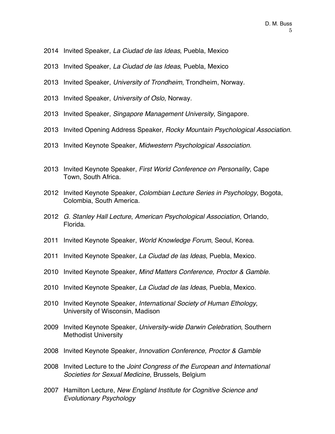- Invited Speaker, *La Ciudad de las Ideas*, Puebla, Mexico
- Invited Speaker, *La Ciudad de las Ideas*, Puebla, Mexico
- Invited Speaker, *University of Trondheim*, Trondheim, Norway.
- Invited Speaker, *University of Oslo*, Norway.
- Invited Speaker, *Singapore Management University*, Singapore.
- Invited Opening Address Speaker, *Rocky Mountain Psychological Association*.
- Invited Keynote Speaker, *Midwestern Psychological Association*.
- Invited Keynote Speaker, *First World Conference on Personality*, Cape Town, South Africa.
- Invited Keynote Speaker, *Colombian Lecture Series in Psychology*, Bogota, Colombia, South America.
- *G. Stanley Hall Lecture*, *American Psychological Association*, Orlando, Florida.
- Invited Keynote Speaker, *World Knowledge Forum*, Seoul, Korea.
- Invited Keynote Speaker, *La Ciudad de las Ideas*, Puebla, Mexico.
- Invited Keynote Speaker, *Mind Matters Conference, Proctor & Gamble*.
- Invited Keynote Speaker, *La Ciudad de las Ideas*, Puebla, Mexico.
- Invited Keynote Speaker, *International Society of Human Ethology*, University of Wisconsin, Madison
- Invited Keynote Speaker, *University-wide Darwin Celebration*, Southern Methodist University
- Invited Keynote Speaker, *Innovation Conference, Proctor & Gamble*
- Invited Lecture to the *Joint Congress of the European and International Societies for Sexual Medicine*, Brussels, Belgium
- Hamilton Lecture, *New England Institute for Cognitive Science and Evolutionary Psychology*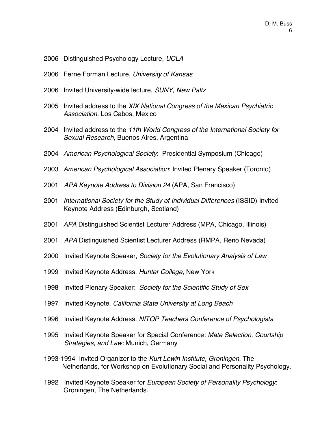- 2006 Distinguished Psychology Lecture, *UCLA*
- 2006 Ferne Forman Lecture, *University of Kansas*
- 2006 Invited University-wide lecture, *SUNY, New Paltz*
- 2005 Invited address to the *XIX National Congress of the Mexican Psychiatric Association*, Los Cabos, Mexico
- 2004 Invited address to the *11th World Congress of the International Society for Sexual Research,* Buenos Aires, Argentina
- 2004 *American Psychological Society*: Presidential Symposium (Chicago)
- 2003 *American Psychological Association*: Invited Plenary Speaker (Toronto)
- 2001 *APA Keynote Address to Division 24* (APA, San Francisco)
- 2001 *International Society for the Study of Individual Differences* (ISSID) Invited Keynote Address (Edinburgh, Scotland)
- 2001 *APA* Distinguished Scientist Lecturer Address (MPA, Chicago, Illinois)
- 2001 *APA* Distinguished Scientist Lecturer Address (RMPA, Reno Nevada)
- 2000 Invited Keynote Speaker, *Society for the Evolutionary Analysis of Law*
- 1999 Invited Keynote Address, *Hunter College*, New York
- 1998 Invited Plenary Speaker: *Society for the Scientific Study of Sex*
- 1997 Invited Keynote, *California State University at Long Beach*
- 1996 Invited Keynote Address, *NITOP Teachers Conference of Psychologists*
- 1995 Invited Keynote Speaker for Special Conference: *Mate Selection, Courtship Strategies, and Law:* Munich, Germany
- 1993-1994 Invited Organizer to the *Kurt Lewin Institute, Groningen*, The Netherlands, for Workshop on Evolutionary Social and Personality Psychology.
- 1992 Invited Keynote Speaker for *European Society of Personality Psychology*: Groningen, The Netherlands.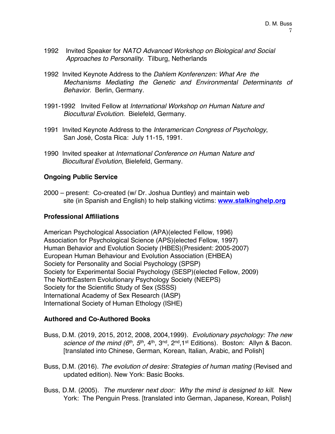- 1992 Invited Speaker for *NATO Advanced Workshop on Biological and Social Approaches to Personality*. Tilburg, Netherlands
- 1992 Invited Keynote Address to the *Dahlem Konferenzen: What Are the Mechanisms Mediating the Genetic and Environmental Determinants of Behavior.* Berlin, Germany.
- 1991-1992 Invited Fellow at *International Workshop on Human Nature and Biocultural Evolution.* Bielefeld, Germany.
- 1991 Invited Keynote Address to the *Interamerican Congress of Psychology*, San José, Costa Rica: July 11-15, 1991.
- 1990 Invited speaker at *International Conference on Human Nature and Biocultural Evolution*, Bielefeld, Germany.

# **Ongoing Public Service**

2000 – present: Co-created (w/ Dr. Joshua Duntley) and maintain web site (in Spanish and English) to help stalking victims: **www.stalkinghelp.org**

# **Professional Affiliations**

American Psychological Association (APA)(elected Fellow, 1996) Association for Psychological Science (APS)(elected Fellow, 1997) Human Behavior and Evolution Society (HBES)(President: 2005-2007) European Human Behaviour and Evolution Association (EHBEA) Society for Personality and Social Psychology (SPSP) Society for Experimental Social Psychology (SESP)(elected Fellow, 2009) The NorthEastern Evolutionary Psychology Society (NEEPS) Society for the Scientific Study of Sex (SSSS) International Academy of Sex Research (IASP) International Society of Human Ethology (ISHE)

# **Authored and Co-Authored Books**

- Buss, D.M. (2019, 2015, 2012, 2008, 2004,1999). *Evolutionary psychology: The new science of the mind (6<sup>th</sup>, 5<sup>th</sup>, 4<sup>th</sup>, 3<sup>nd</sup>, 2<sup>nd</sup>, 1<sup>st</sup> Editions). Boston: Allyn & Bacon.* [translated into Chinese, German, Korean, Italian, Arabic, and Polish]
- Buss, D.M. (2016). *The evolution of desire: Strategies of human mating* (Revised and updated edition). New York: Basic Books.
- Buss, D.M. (2005). *The murderer next door: Why the mind is designed to kill*. New York: The Penguin Press. [translated into German, Japanese, Korean, Polish]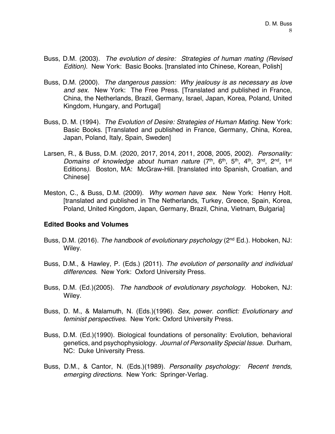- Buss, D.M. (2003). *The evolution of desire: Strategies of human mating (Revised Edition)*. New York: Basic Books. [translated into Chinese, Korean, Polish]
- Buss, D.M. (2000). *The dangerous passion: Why jealousy is as necessary as love and sex.* New York: The Free Press. [Translated and published in France, China, the Netherlands, Brazil, Germany, Israel, Japan, Korea, Poland, United Kingdom, Hungary, and Portugal]
- Buss, D. M. (1994). *The Evolution of Desire: Strategies of Human Mating*. New York: Basic Books. [Translated and published in France, Germany, China, Korea, Japan, Poland, Italy, Spain, Sweden]
- Larsen, R., & Buss, D.M. (2020, 2017, 2014, 2011, 2008, 2005, 2002). *Personality: Domains of knowledge about human nature* (7th, 6th, 5th, 4th, 3nd, 2nd, 1st Editions*)*. Boston, MA: McGraw-Hill. [translated into Spanish, Croatian, and Chinese]
- Meston, C., & Buss, D.M. (2009). *Why women have sex*. New York: Henry Holt. [translated and published in The Netherlands, Turkey, Greece, Spain, Korea, Poland, United Kingdom, Japan, Germany, Brazil, China, Vietnam, Bulgaria]

# **Edited Books and Volumes**

- Buss, D.M. (2016). *The handbook of evolutionary psychology* (2nd Ed.). Hoboken, NJ: Wiley.
- Buss, D.M., & Hawley, P. (Eds.) (2011). *The evolution of personality and individual differences.* New York: Oxford University Press.
- Buss, D.M. (Ed.)(2005). *The handbook of evolutionary psychology*. Hoboken, NJ: Wiley.
- Buss, D. M., & Malamuth, N. (Eds.)(1996). *Sex, power. conflict: Evolutionary and feminist perspectives.* New York: Oxford University Press.
- Buss, D.M. (Ed.)(1990). Biological foundations of personality: Evolution, behavioral genetics, and psychophysiology. *Journal of Personality Special Issue*. Durham, NC: Duke University Press.
- Buss, D.M., & Cantor, N. (Eds.)(1989). *Personality psychology: Recent trends, emerging directions.* New York: Springer-Verlag.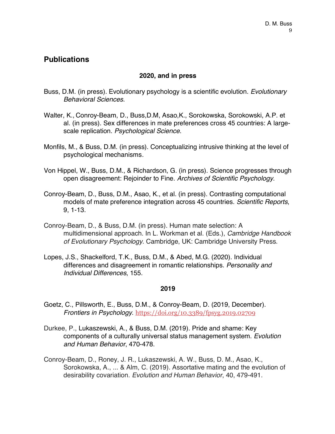# **Publications**

# **2020, and in press**

- Buss, D.M. (in press). Evolutionary psychology is a scientific evolution. *Evolutionary Behavioral Sciences*.
- Walter, K., Conroy-Beam, D., Buss,D.M, Asao,K., Sorokowska, Sorokowski, A.P. et al. (in press). Sex differences in mate preferences cross 45 countries: A largescale replication. *Psychological Science*.
- Monfils, M., & Buss, D.M. (in press). Conceptualizing intrusive thinking at the level of psychological mechanisms.
- Von Hippel, W., Buss, D.M., & Richardson, G. (in press). Science progresses through open disagreement: Rejoinder to Fine. *Archives of Scientific Psychology*.
- Conroy-Beam, D., Buss, D.M., Asao, K., et al. (in press). Contrasting computational models of mate preference integration across 45 countries. *Scientific Reports*, 9, 1-13.
- Conroy-Beam, D., & Buss, D.M. (in press). Human mate selection: A multidimensional approach. In L. Workman et al. (Eds.), *Cambridge Handbook of Evolutionary Psychology*. Cambridge, UK: Cambridge University Press.
- Lopes, J.S., Shackelford, T.K., Buss, D.M., & Abed, M.G. (2020). Individual differences and disagreement in romantic relationships. *Personality and Individual Differences*, 155.

- Goetz, C., Pillsworth, E., Buss, D.M., & Conroy-Beam, D. (2019, December). *Frontiers in Psychology*. https://doi.org/10.3389/fpsyg.2019.02709
- Durkee, P., Lukaszewski, A., & Buss, D.M. (2019). Pride and shame: Key components of a culturally universal status management system. *Evolution and Human Behavior*, 470-478.
- Conroy-Beam, D., Roney, J. R., Lukaszewski, A. W., Buss, D. M., Asao, K., Sorokowska, A., ... & Alm, C. (2019). Assortative mating and the evolution of desirability covariation. *Evolution and Human Behavior*, 40, 479-491.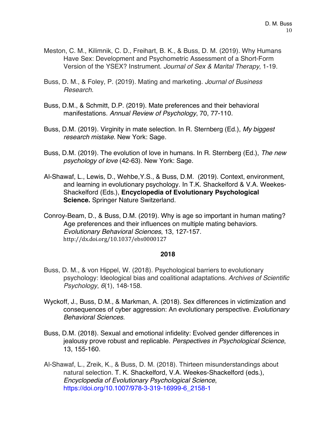- Meston, C. M., Kilimnik, C. D., Freihart, B. K., & Buss, D. M. (2019). Why Humans Have Sex: Development and Psychometric Assessment of a Short-Form Version of the YSEX? Instrument. *Journal of Sex & Marital Therapy*, 1-19.
- Buss, D. M., & Foley, P. (2019). Mating and marketing. *Journal of Business Research*.
- Buss, D.M., & Schmitt, D.P. (2019). Mate preferences and their behavioral manifestations. *Annual Review of Psychology*, 70, 77-110.
- Buss, D.M. (2019). Virginity in mate selection. In R. Sternberg (Ed.), *My biggest research mistake*. New York: Sage.
- Buss, D.M. (2019). The evolution of love in humans. In R. Sternberg (Ed.), *The new psychology of love* (42-63). New York: Sage.
- Al-Shawaf, L., Lewis, D., Wehbe,Y.S., & Buss, D.M. (2019). Context, environment, and learning in evolutionary psychology. In T.K. Shackelford & V.A. Weekes-Shackelford (Eds.), **Encyclopedia of Evolutionary Psychological Science.** Springer Nature Switzerland.
- Conroy-Beam, D., & Buss, D.M. (2019). Why is age so important in human mating? Age preferences and their influences on multiple mating behaviors. *Evolutionary Behavioral Sciences*, 13, 127-157. http://dx.doi.org/10.1037/ebs0000127

- Buss, D. M., & von Hippel, W. (2018). Psychological barriers to evolutionary psychology: Ideological bias and coalitional adaptations. *Archives of Scientific Psychology*, *6*(1), 148-158.
- Wyckoff, J., Buss, D.M., & Markman, A. (2018). Sex differences in victimization and consequences of cyber aggression: An evolutionary perspective. *Evolutionary Behavioral Sciences*.
- Buss, D.M. (2018). Sexual and emotional infidelity: Evolved gender differences in jealousy prove robust and replicable. *Perspectives in Psychological Science*, 13, 155-160.
- Al-Shawaf, L., Zreik, K., & Buss, D. M. (2018). Thirteen misunderstandings about natural selection. T. K. Shackelford, V.A. Weekes-Shackelford (eds.), *Encyclopedia of Evolutionary Psychological Science*, https://doi.org/10.1007/978-3-319-16999-6\_2158-1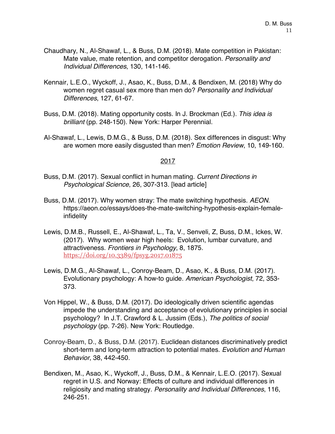- Chaudhary, N., Al-Shawaf, L., & Buss, D.M. (2018). Mate competition in Pakistan: Mate value, mate retention, and competitor derogation. *Personality and Individual Differences*, 130, 141-146.
- Kennair, L.E.O., Wyckoff, J., Asao, K., Buss, D.M., & Bendixen, M. (2018) Why do women regret casual sex more than men do? *Personality and Individual Differences*, 127, 61-67.
- Buss, D.M. (2018). Mating opportunity costs. In J. Brockman (Ed.). *This idea is brilliant* (pp. 248-150). New York: Harper Perennial.
- Al-Shawaf, L., Lewis, D.M.G., & Buss, D.M. (2018). Sex differences in disgust: Why are women more easily disgusted than men? *Emotion Review*, 10, 149-160.

- Buss, D.M. (2017). Sexual conflict in human mating. *Current Directions in Psychological Science*, 26, 307-313. [lead article]
- Buss, D.M. (2017). Why women stray: The mate switching hypothesis. *AEON*. https://aeon.co/essays/does-the-mate-switching-hypothesis-explain-femaleinfidelity
- Lewis, D.M.B., Russell, E., Al-Shawaf, L., Ta, V., Senveli, Z, Buss, D.M., Ickes, W. (2017). Why women wear high heels: Evolution, lumbar curvature, and attractiveness. *Frontiers in Psychology*, 8, 1875. https://doi.org/10.3389/fpsyg.2017.01875
- Lewis, D.M.G., Al-Shawaf, L., Conroy-Beam, D., Asao, K., & Buss, D.M. (2017). Evolutionary psychology: A how-to guide. *American Psychologist*, 72, 353- 373.
- Von Hippel, W., & Buss, D.M. (2017). Do ideologically driven scientific agendas impede the understanding and acceptance of evolutionary principles in social psychology? In J.T. Crawford & L. Jussim (Eds.), *The politics of social psychology* (pp. 7-26). New York: Routledge.
- Conroy-Beam, D., & Buss, D.M. (2017). Euclidean distances discriminatively predict short-term and long-term attraction to potential mates. *Evolution and Human Behavior*, 38, 442-450.
- Bendixen, M., Asao, K., Wyckoff, J., Buss, D.M., & Kennair, L.E.O. (2017). Sexual regret in U.S. and Norway: Effects of culture and individual differences in religiosity and mating strategy. *Personality and Individual Differences*, 116, 246-251.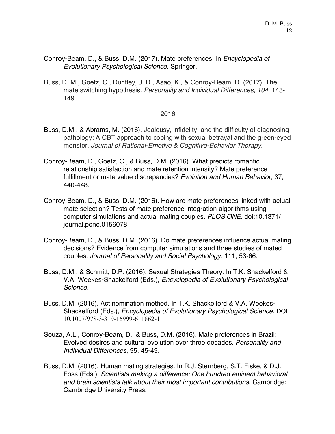- Conroy-Beam, D., & Buss, D.M. (2017). Mate preferences. In *Encyclopedia of Evolutionary Psychological Science*. Springer.
- Buss, D. M., Goetz, C., Duntley, J. D., Asao, K., & Conroy-Beam, D. (2017). The mate switching hypothesis. *Personality and Individual Differences*, *104*, 143- 149.

- Buss, D.M., & Abrams, M. (2016). Jealousy, infidelity, and the difficulty of diagnosing pathology: A CBT approach to coping with sexual betrayal and the green-eyed monster. *Journal of Rational-Emotive & Cognitive-Behavior Therapy*.
- Conroy-Beam, D., Goetz, C., & Buss, D.M. (2016). What predicts romantic relationship satisfaction and mate retention intensity? Mate preference fulfillment or mate value discrepancies? *Evolution and Human Behavior*, 37, 440-448.
- Conroy-Beam, D., & Buss, D.M. (2016). How are mate preferences linked with actual mate selection? Tests of mate preference integration algorithms using computer simulations and actual mating couples. *PLOS ONE*. doi:10.1371/ journal.pone.0156078
- Conroy-Beam, D., & Buss, D.M. (2016). Do mate preferences influence actual mating decisions? Evidence from computer simulations and three studies of mated couples. *Journal of Personality and Social Psychology*, 111, 53-66.
- Buss, D.M., & Schmitt, D.P. (2016). Sexual Strategies Theory. In T.K. Shackelford & V.A. Weekes-Shackelford (Eds.), *Encyclopedia of Evolutionary Psychological Science*.
- Buss, D.M. (2016). Act nomination method. In T.K. Shackelford & V.A. Weekes-Shackelford (Eds.), *Encyclopedia of Evolutionary Psychological Science*. DOI 10.1007/978-3-319-16999-6\_1862-1
- Souza, A.L., Conroy-Beam, D., & Buss, D.M. (2016). Mate preferences in Brazil: Evolved desires and cultural evolution over three decades. *Personality and Individual Differences*, 95, 45-49.
- Buss, D.M. (2016). Human mating strategies. In R.J. Sternberg, S.T. Fiske, & D.J. Foss (Eds.), *Scientists making a difference: One hundred eminent behavioral and brain scientists talk about their most important contributions*. Cambridge: Cambridge University Press.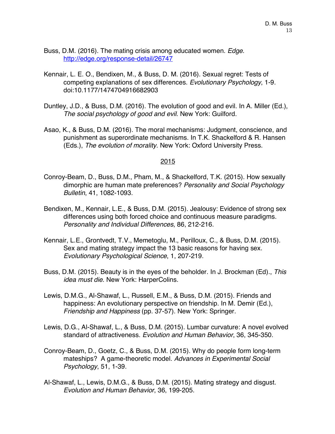- Buss, D.M. (2016). The mating crisis among educated women. *Edge*. http://edge.org/response-detail/26747
- Kennair, L. E. O., Bendixen, M., & Buss, D. M. (2016). Sexual regret: Tests of competing explanations of sex differences. *Evolutionary Psychology*, 1-9. doi:10.1177/1474704916682903
- Duntley, J.D., & Buss, D.M. (2016). The evolution of good and evil. In A. Miller (Ed.), *The social psychology of good and evil*. New York: Guilford.
- Asao, K., & Buss, D.M. (2016). The moral mechanisms: Judgment, conscience, and punishment as superordinate mechanisms. In T.K. Shackelford & R. Hansen (Eds.), *The evolution of morality*. New York: Oxford University Press.

- Conroy-Beam, D., Buss, D.M., Pham, M., & Shackelford, T.K. (2015). How sexually dimorphic are human mate preferences? *Personality and Social Psychology Bulletin*, 41, 1082-1093.
- Bendixen, M., Kennair, L.E., & Buss, D.M. (2015). Jealousy: Evidence of strong sex differences using both forced choice and continuous measure paradigms. *Personality and Individual Differences*, 86, 212-216.
- Kennair, L.E., Grontvedt, T.V., Memetoglu, M., Perilloux, C., & Buss, D.M. (2015). Sex and mating strategy impact the 13 basic reasons for having sex. *Evolutionary Psychological Science*, 1, 207-219.
- Buss, D.M. (2015). Beauty is in the eyes of the beholder. In J. Brockman (Ed)., *This idea must die*. New York: HarperColins.
- Lewis, D.M.G., Al-Shawaf, L., Russell, E.M., & Buss, D.M. (2015). Friends and happiness: An evolutionary perspective on friendship. In M. Demir (Ed.), *Friendship and Happiness* (pp. 37-57). New York: Springer.
- Lewis, D.G., Al-Shawaf, L., & Buss, D.M. (2015). Lumbar curvature: A novel evolved standard of attractiveness. *Evolution and Human Behavior*, 36, 345-350.
- Conroy-Beam, D., Goetz, C., & Buss, D.M. (2015). Why do people form long-term mateships? A game-theoretic model. *Advances in Experimental Social Psychology*, 51, 1-39.
- Al-Shawaf, L., Lewis, D.M.G., & Buss, D.M. (2015). Mating strategy and disgust. *Evolution and Human Behavior*, 36, 199-205.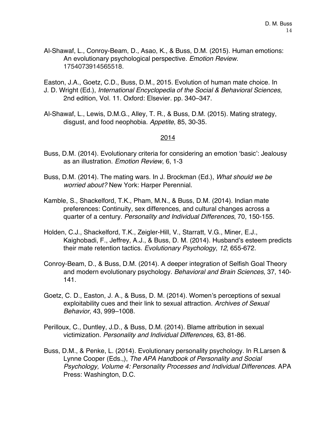Al-Shawaf, L., Conroy-Beam, D., Asao, K., & Buss, D.M. (2015). Human emotions: An evolutionary psychological perspective. *Emotion Review*. 1754073914565518.

Easton, J.A., Goetz, C.D., Buss, D.M., 2015. Evolution of human mate choice. In J. D. Wright (Ed.), *International Encyclopedia of the Social & Behavioral Sciences,*  2nd edition, Vol. 11. Oxford: Elsevier. pp. 340–347.

Al-Shawaf, L., Lewis, D.M.G., Alley, T. R., & Buss, D.M. (2015). Mating strategy, disgust, and food neophobia. *Appetite*, 85, 30-35.

- Buss, D.M. (2014). Evolutionary criteria for considering an emotion 'basic': Jealousy as an illustration. *Emotion Review*, 6, 1-3
- Buss, D.M. (2014). The mating wars. In J. Brockman (Ed.), *What should we be worried about?* New York: Harper Perennial.
- Kamble, S., Shackelford, T.K., Pham, M.N., & Buss, D.M. (2014). Indian mate preferences: Continuity, sex differences, and cultural changes across a quarter of a century. *Personality and Individual Differences*, 70, 150-155.
- Holden, C.J., Shackelford, T.K., Zeigler-Hill, V., Starratt, V.G., Miner, E.J., Kaighobadi, F., Jeffrey, A.J., & Buss, D. M. (2014). Husband's esteem predicts their mate retention tactics. *Evolutionary Psychology*, *12*, 655-672.
- Conroy-Beam, D., & Buss, D.M. (2014). A deeper integration of Selfish Goal Theory and modern evolutionary psychology. *Behavioral and Brain Sciences*, 37, 140- 141.
- Goetz, C. D., Easton, J. A., & Buss, D. M. (2014). Women's perceptions of sexual exploitability cues and their link to sexual attraction. *Archives of Sexual Behavior,* 43, 999–1008.
- Perilloux, C., Duntley, J.D., & Buss, D.M. (2014). Blame attribution in sexual victimization. *Personality and Individual Differences*, 63, 81-86.
- Buss, D.M., & Penke, L. (2014). Evolutionary personality psychology. In R.Larsen & Lynne Cooper (Eds.,), *The APA Handbook of Personality and Social Psychology, Volume 4: Personality Processes and Individual Differences*. APA Press: Washington, D.C.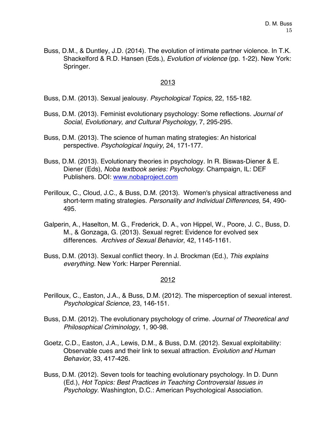Buss, D.M., & Duntley, J.D. (2014). The evolution of intimate partner violence. In T.K. Shackelford & R.D. Hansen (Eds.), *Evolution of violence* (pp. 1-22). New York: Springer.

# 2013

Buss, D.M. (2013). Sexual jealousy. *Psychological Topics*, 22, 155-182.

- Buss, D.M. (2013). Feminist evolutionary psychology: Some reflections. *Journal of Social, Evolutionary, and Cultural Psychology*, 7, 295-295.
- Buss, D.M. (2013). The science of human mating strategies: An historical perspective. *Psychological Inquiry*, 24, 171-177.
- Buss, D.M. (2013). Evolutionary theories in psychology. In R. Biswas-Diener & E. Diener (Eds), *Noba textbook series: Psychology*. Champaign, IL: DEF Publishers. DOI: www.nobaproject.com
- Perilloux, C., Cloud, J.C., & Buss, D.M. (2013). Women's physical attractiveness and short-term mating strategies. *Personality and Individual Differences,* 54, 490- 495.
- Galperin, A., Haselton, M. G., Frederick, D. A., von Hippel, W., Poore, J. C., Buss, D. M., & Gonzaga, G. (2013). Sexual regret: Evidence for evolved sex differences. *Archives of Sexual Behavior*, 42, 1145-1161.
- Buss, D.M. (2013). Sexual conflict theory. In J. Brockman (Ed.), *This explains everything*. New York: Harper Perennial.

- Perilloux, C., Easton, J.A., & Buss, D.M. (2012). The misperception of sexual interest. *Psychological Science*, 23, 146-151.
- Buss, D.M. (2012). The evolutionary psychology of crime. *Journal of Theoretical and Philosophical Criminology*, 1, 90-98.
- Goetz, C.D., Easton, J.A., Lewis, D.M., & Buss, D.M. (2012). Sexual exploitability: Observable cues and their link to sexual attraction. *Evolution and Human Behavior*, 33, 417-426.
- Buss, D.M. (2012). Seven tools for teaching evolutionary psychology. In D. Dunn (Ed.), *Hot Topics: Best Practices in Teaching Controversial Issues in Psychology.* Washington, D.C.: American Psychological Association.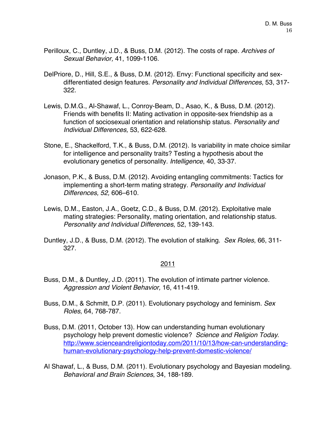- Perilloux, C., Duntley, J.D., & Buss, D.M. (2012). The costs of rape*. Archives of Sexual Behavior,* 41, 1099-1106.
- DelPriore, D., Hill, S.E., & Buss, D.M. (2012). Envy: Functional specificity and sexdifferentiated design features. *Personality and Individual Differences*, 53, 317- 322.
- Lewis, D.M.G., Al-Shawaf, L., Conroy-Beam, D., Asao, K., & Buss, D.M. (2012). Friends with benefits II: Mating activation in opposite-sex friendship as a function of sociosexual orientation and relationship status. *Personality and Individual Differences,* 53, 622-628.
- Stone, E., Shackelford, T.K., & Buss, D.M. (2012). Is variability in mate choice similar for intelligence and personality traits? Testing a hypothesis about the evolutionary genetics of personality. *Intelligence*, 40, 33-37.
- Jonason, P.K., & Buss, D.M. (2012). Avoiding entangling commitments: Tactics for implementing a short-term mating strategy. *Personality and Individual Differences, 52,* 606–610.
- Lewis, D.M., Easton, J.A., Goetz, C.D., & Buss, D.M. (2012). Exploitative male mating strategies: Personality, mating orientation, and relationship status. *Personality and Individual Differences*, 52, 139-143.
- Duntley, J.D., & Buss, D.M. (2012). The evolution of stalking. *Sex Roles*, 66, 311- 327.

- Buss, D.M., & Duntley, J.D. (2011). The evolution of intimate partner violence. *Aggression and Violent Behavior,* 16, 411-419.
- Buss, D.M., & Schmitt, D.P. (2011). Evolutionary psychology and feminism. *Sex Roles*, 64, 768-787.
- Buss, D.M. (2011, October 13). How can understanding human evolutionary psychology help prevent domestic violence? *Science and Religion Today*. http://www.scienceandreligiontoday.com/2011/10/13/how-can-understandinghuman-evolutionary-psychology-help-prevent-domestic-violence/
- Al Shawaf, L., & Buss, D.M. (2011). Evolutionary psychology and Bayesian modeling. *Behavioral and Brain Sciences*, 34, 188-189.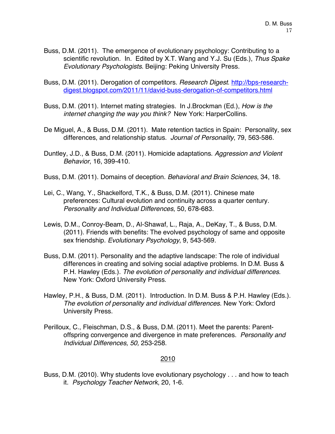- Buss, D.M. (2011). The emergence of evolutionary psychology: Contributing to a scientific revolution. In. Edited by X.T. Wang and Y.J. Su (Eds.), *Thus Spake Evolutionary Psychologists*. Beijing: Peking University Press.
- Buss, D.M. (2011). Derogation of competitors. *Research Digest*. http://bps-researchdigest.blogspot.com/2011/11/david-buss-derogation-of-competitors.html
- Buss, D.M. (2011). Internet mating strategies. In J.Brockman (Ed.), *How is the internet changing the way you think?* New York: HarperCollins.
- De Miguel, A., & Buss, D.M. (2011). Mate retention tactics in Spain: Personality, sex differences, and relationship status. *Journal of Personality*, 79, 563-586.
- Duntley, J.D., & Buss, D.M. (2011). Homicide adaptations. *Aggression and Violent Behavior*, 16, 399-410.
- Buss, D.M. (2011). Domains of deception. *Behavioral and Brain Sciences*, 34, 18.
- Lei, C., Wang, Y., Shackelford, T.K., & Buss, D.M. (2011). Chinese mate preferences: Cultural evolution and continuity across a quarter century. *Personality and Individual Differences*, 50, 678-683.
- Lewis, D.M., Conroy-Beam, D., Al-Shawaf, L., Raja, A., DeKay, T., & Buss, D.M. (2011). Friends with benefits: The evolved psychology of same and opposite sex friendship. *Evolutionary Psychology*, 9, 543-569.
- Buss, D.M. (2011). Personality and the adaptive landscape: The role of individual differences in creating and solving social adaptive problems. In D.M. Buss & P.H. Hawley (Eds.). *The evolution of personality and individual differences*. New York: Oxford University Press.
- Hawley, P.H., & Buss, D.M. (2011). Introduction. In D.M. Buss & P.H. Hawley (Eds.). *The evolution of personality and individual differences*. New York: Oxford University Press.
- Perilloux, C., Fleischman, D.S., & Buss, D.M. (2011). Meet the parents: Parentoffspring convergence and divergence in mate preferences. *Personality and Individual Differences, 50,* 253-258.

Buss, D.M. (2010). Why students love evolutionary psychology . . . and how to teach it. *Psychology Teacher Network*, 20, 1-6.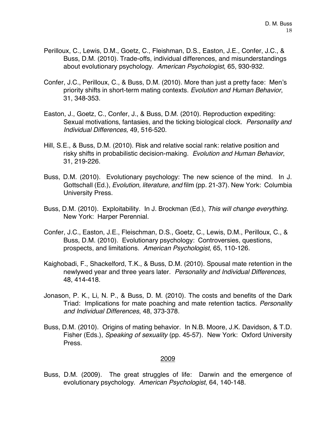- Perilloux, C., Lewis, D.M., Goetz, C., Fleishman, D.S., Easton, J.E., Confer, J.C., & Buss, D.M. (2010). Trade-offs, individual differences, and misunderstandings about evolutionary psychology. *American Psychologist*, 65, 930-932.
- Confer, J.C., Perilloux, C., & Buss, D.M. (2010). More than just a pretty face: Men's priority shifts in short-term mating contexts. *Evolution and Human Behavior*, 31, 348-353.
- Easton, J., Goetz, C., Confer, J., & Buss, D.M. (2010). Reproduction expediting: Sexual motivations, fantasies, and the ticking biological clock. *Personality and Individual Differences,* 49, 516-520.
- Hill, S.E., & Buss, D.M. (2010). Risk and relative social rank: relative position and risky shifts in probabilistic decision-making. *Evolution and Human Behavior*, 31, 219-226.
- Buss, D.M. (2010). Evolutionary psychology: The new science of the mind. In J. Gottschall (Ed.), *Evolution, literature, and* film (pp. 21-37). New York: Columbia University Press.
- Buss, D.M. (2010). Exploitability. In J. Brockman (Ed.), *This will change everything*. New York: Harper Perennial.
- Confer, J.C., Easton, J.E., Fleischman, D.S., Goetz, C., Lewis, D.M., Perilloux, C., & Buss, D.M. (2010). Evolutionary psychology: Controversies, questions, prospects, and limitations. *American Psychologist*, 65, 110-126.
- Kaighobadi, F., Shackelford, T.K., & Buss, D.M. (2010). Spousal mate retention in the newlywed year and three years later. *Personality and Individual Differences*, 48, 414-418.
- Jonason, P. K., Li, N. P., & Buss, D. M. (2010). The costs and benefits of the Dark Triad: Implications for mate poaching and mate retention tactics. *Personality and Individual Differences*, 48, 373-378.
- Buss, D.M. (2010). Origins of mating behavior. In N.B. Moore, J.K. Davidson, & T.D. Fisher (Eds.), *Speaking of sexuality* (pp. 45-57). New York: Oxford University Press.

Buss, D.M. (2009). The great struggles of life: Darwin and the emergence of evolutionary psychology. *American Psychologist*, 64, 140-148.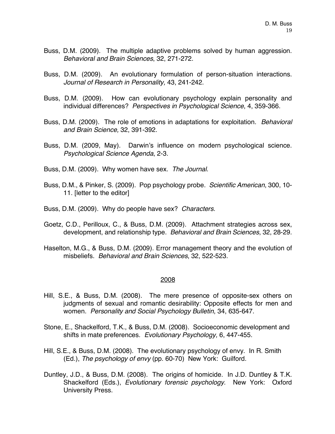- Buss, D.M. (2009). The multiple adaptive problems solved by human aggression. *Behavioral and Brain Sciences*, 32, 271-272.
- Buss, D.M. (2009). An evolutionary formulation of person-situation interactions. *Journal of Research in Personality,* 43, 241-242.
- Buss, D.M. (2009). How can evolutionary psychology explain personality and individual differences? *Perspectives in Psychological Science*, 4, 359-366.
- Buss, D.M. (2009). The role of emotions in adaptations for exploitation. *Behavioral and Brain Science,* 32, 391-392.
- Buss, D.M. (2009, May). Darwin's influence on modern psychological science. *Psychological Science Agenda*, 2-3.
- Buss, D.M. (2009). Why women have sex. *The Journal*.
- Buss, D.M., & Pinker, S. (2009). Pop psychology probe. *Scientific American*, 300, 10- 11. [letter to the editor]
- Buss, D.M. (2009). Why do people have sex? *Characters*.
- Goetz, C.D., Perilloux, C., & Buss, D.M. (2009). Attachment strategies across sex, development, and relationship type. *Behavioral and Brain Sciences*, 32, 28-29.
- Haselton, M.G., & Buss, D.M. (2009). Error management theory and the evolution of misbeliefs. *Behavioral and Brain Sciences*, 32, 522-523.

- Hill, S.E., & Buss, D.M. (2008). The mere presence of opposite-sex others on judgments of sexual and romantic desirability: Opposite effects for men and women. *Personality and Social Psychology Bulletin*, 34, 635-647.
- Stone, E., Shackelford, T.K., & Buss, D.M. (2008). Socioeconomic development and shifts in mate preferences. *Evolutionary Psychology,* 6, 447-455.
- Hill, S.E., & Buss, D.M. (2008). The evolutionary psychology of envy. In R. Smith (Ed.), *The psychology of envy* (pp. 60-70) New York: Guilford.
- Duntley, J.D., & Buss, D.M. (2008). The origins of homicide. In J.D. Duntley & T.K. Shackelford (Eds.), *Evolutionary forensic psychology*. New York: Oxford University Press.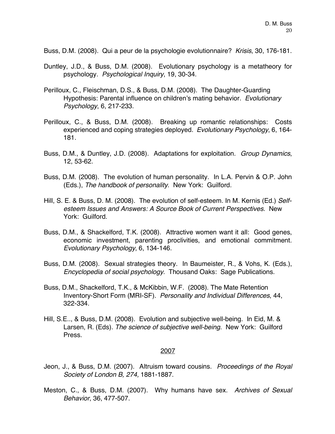Buss, D.M. (2008). Qui a peur de la psychologie evolutionnaire? *Krisis*, 30, 176-181.

- Duntley, J.D., & Buss, D.M. (2008). Evolutionary psychology is a metatheory for psychology. *Psychological Inquiry*, 19, 30-34.
- Perilloux, C., Fleischman, D.S., & Buss, D.M. (2008). The Daughter-Guarding Hypothesis: Parental influence on children's mating behavior. *Evolutionary Psychology*, 6, 217-233.
- Perilloux, C., & Buss, D.M. (2008). Breaking up romantic relationships: Costs experienced and coping strategies deployed. *Evolutionary Psychology*, 6, 164- 181.
- Buss, D.M., & Duntley, J.D. (2008). Adaptations for exploitation. *Group Dynamics*, 12, 53-62.
- Buss, D.M. (2008). The evolution of human personality. In L.A. Pervin & O.P. John (Eds.), *The handbook of personality*. New York: Guilford.
- Hill, S. E. & Buss, D. M. (2008). The evolution of self-esteem. In M. Kernis (Ed.) *Selfesteem Issues and Answers: A Source Book of Current Perspectives*. New York: Guilford.
- Buss, D.M., & Shackelford, T.K. (2008). Attractive women want it all: Good genes, economic investment, parenting proclivities, and emotional commitment. *Evolutionary Psychology*, 6, 134-146.
- Buss, D.M. (2008). Sexual strategies theory. In Baumeister, R., & Vohs, K. (Eds.), *Encyclopedia of social psychology*. Thousand Oaks: Sage Publications.
- Buss, D.M., Shackelford, T.K., & McKibbin, W.F. (2008). The Mate Retention Inventory-Short Form (MRI-SF). *Personality and Individual Differences*, 44, 322-334.
- Hill, S.E.., & Buss, D.M. (2008). Evolution and subjective well-being. In Eid, M. & Larsen, R. (Eds). *The science of subjective well-being*. New York: Guilford Press.

- Jeon, J., & Buss, D.M. (2007). Altruism toward cousins. *Proceedings of the Royal Society of London B, 274,* 1881-1887.
- Meston, C., & Buss, D.M. (2007). Why humans have sex. *Archives of Sexual Behavior*, 36, 477-507.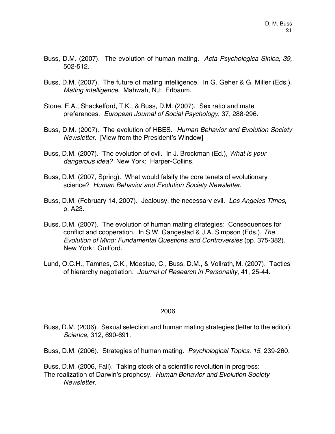- Buss, D.M. (2007). The evolution of human mating. *Acta Psychologica Sinica, 39,*  502-512.
- Buss, D.M. (2007). The future of mating intelligence. In G. Geher & G. Miller (Eds.), *Mating intelligence*. Mahwah, NJ: Erlbaum.
- Stone, E.A., Shackelford, T.K., & Buss, D.M. (2007). Sex ratio and mate preferences. *European Journal of Social Psychology*, 37, 288-296.
- Buss, D.M. (2007). The evolution of HBES. *Human Behavior and Evolution Society Newsletter*. [View from the President's Window]
- Buss, D.M. (2007). The evolution of evil. In J. Brockman (Ed.), *What is your dangerous idea?* New York: Harper-Collins.
- Buss, D.M. (2007, Spring). What would falsify the core tenets of evolutionary science? *Human Behavior and Evolution Society Newsletter*.
- Buss, D.M. (February 14, 2007). Jealousy, the necessary evil. *Los Angeles Times*, p. A23.
- Buss, D.M. (2007). The evolution of human mating strategies: Consequences for conflict and cooperation. In S.W. Gangestad & J.A. Simpson (Eds.), *The Evolution of Mind: Fundamental Questions and Controversies* (pp. 375-382). New York: Guilford.
- Lund, O.C.H., Tamnes, C.K., Moestue, C., Buss, D.M., & Vollrath, M. (2007). Tactics of hierarchy negotiation. *Journal of Research in Personality*, 41, 25-44.

Buss, D.M. (2006). Sexual selection and human mating strategies (letter to the editor). *Science*, 312, 690-691.

Buss, D.M. (2006). Strategies of human mating. *Psychological Topics, 15*, 239-260.

Buss, D.M. (2006, Fall). Taking stock of a scientific revolution in progress: The realization of Darwin's prophesy. *Human Behavior and Evolution Society Newsletter*.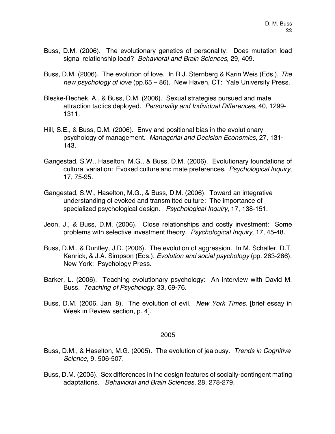- Buss, D.M. (2006). The evolutionary genetics of personality: Does mutation load signal relationship load? *Behavioral and Brain Sciences*, 29, 409.
- Buss, D.M. (2006). The evolution of love. In R.J. Sternberg & Karin Weis (Eds.), *The new psychology of love* (pp.65 – 86). New Haven, CT: Yale University Press.
- Bleske-Rechek, A., & Buss, D.M. (2006). Sexual strategies pursued and mate attraction tactics deployed. *Personality and Individual Differences*, 40, 1299- 1311.
- Hill, S.E., & Buss, D.M. (2006). Envy and positional bias in the evolutionary psychology of management. *Managerial and Decision Economics*, 27, 131- 143.
- Gangestad, S.W., Haselton, M.G., & Buss, D.M. (2006). Evolutionary foundations of cultural variation: Evoked culture and mate preferences. *Psychological Inquiry*, 17, 75-95.
- Gangestad, S.W., Haselton, M.G., & Buss, D.M. (2006). Toward an integrative understanding of evoked and transmitted culture: The importance of specialized psychological design. *Psychological Inquiry*, 17, 138-151.
- Jeon, J., & Buss, D.M. (2006). Close relationships and costly investment: Some problems with selective investment theory. *Psychological Inquiry*, 17, 45-48.
- Buss, D.M., & Duntley, J.D. (2006). The evolution of aggression. In M. Schaller, D.T. Kenrick, & J.A. Simpson (Eds.), *Evolution and social psychology* (pp. 263-286). New York: Psychology Press.
- Barker, L. (2006). Teaching evolutionary psychology: An interview with David M. Buss. *Teaching of Psychology*, 33, 69-76.
- Buss, D.M. (2006, Jan. 8). The evolution of evil. *New York Times*. [brief essay in Week in Review section, p. 4].

- Buss, D.M., & Haselton, M.G. (2005). The evolution of jealousy. *Trends in Cognitive Science*, 9, 506-507.
- Buss, D.M. (2005). Sex differences in the design features of socially-contingent mating adaptations. *Behavioral and Brain Sciences*, 28, 278-279.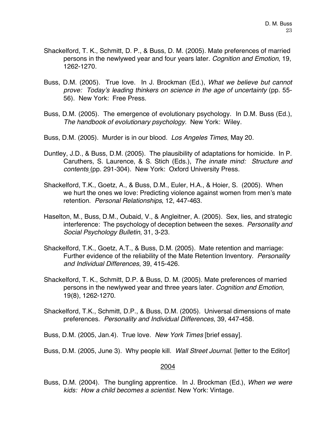- Shackelford, T. K., Schmitt, D. P., & Buss, D. M. (2005). Mate preferences of married persons in the newlywed year and four years later. *Cognition and Emotion*, 19, 1262-1270.
- Buss, D.M. (2005). True love. In J. Brockman (Ed.), *What we believe but cannot prove: Today's leading thinkers on science in the age of uncertainty* (pp. 55- 56). New York: Free Press.
- Buss, D.M. (2005). The emergence of evolutionary psychology. In D.M. Buss (Ed.), *The handbook of evolutionary psychology.* New York: Wiley.
- Buss, D.M. (2005). Murder is in our blood. *Los Angeles Times*, May 20.
- Duntley, J.D., & Buss, D.M. (2005). The plausibility of adaptations for homicide. In P. Caruthers, S. Laurence, & S. Stich (Eds.), *The innate mind: Structure and contents* (pp. 291-304). New York: Oxford University Press.
- Shackelford, T.K., Goetz, A., & Buss, D.M., Euler, H.A., & Hoier, S. (2005). When we hurt the ones we love: Predicting violence against women from men's mate retention. *Personal Relationships*, 12, 447-463.
- Haselton, M., Buss, D.M., Oubaid, V., & Angleitner, A. (2005). Sex, lies, and strategic interference: The psychology of deception between the sexes. *Personality and Social Psychology Bulletin*, 31, 3-23.
- Shackelford, T.K., Goetz, A.T., & Buss, D.M. (2005). Mate retention and marriage: Further evidence of the reliability of the Mate Retention Inventory. *Personality and Individual Differences*, 39, 415-426.
- Shackelford, T. K., Schmitt, D.P. & Buss, D. M. (2005). Mate preferences of married persons in the newlywed year and three years later. *Cognition and Emotion*, 19(8), 1262-1270.
- Shackelford, T.K., Schmitt, D.P., & Buss, D.M. (2005). Universal dimensions of mate preferences. *Personality and Individual Differences*, 39, 447-458.

Buss, D.M. (2005, Jan.4). True love. *New York Times* [brief essay].

Buss, D.M. (2005, June 3). Why people kill. *Wall Street Journal*. [letter to the Editor]

#### 2004

Buss, D.M. (2004). The bungling apprentice. In J. Brockman (Ed.), *When we were kids: How a child becomes a scientist.* New York: Vintage.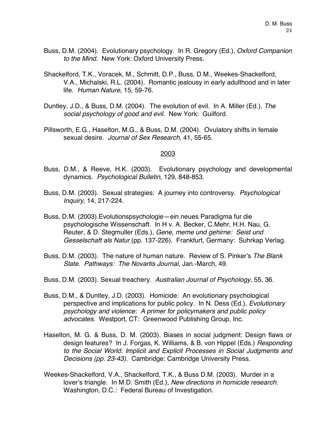- Buss, D.M. (2004). Evolutionary psychology. In R. Gregory (Ed.), *Oxford Companion to the Mind.* New York: Oxford University Press.
- Shackelford, T.K., Voracek, M., Schmitt, D.P., Buss, D.M., Weekes-Shackelford, V.A., Michalski, R.L. (2004). Romantic jealousy in early adulthood and in later life. *Human Nature*, 15, 59-76.
- Duntley, J.D., & Buss, D.M. (2004). The evolution of evil. In A. Miller (Ed.), *The social psychology of good and evil*. New York: Guilford.
- Pillsworth, E.G., Haselton, M.G., & Buss, D.M. (2004). Ovulatory shifts in female sexual desire. *Journal of Sex Research*, 41, 55-65.

- Buss, D.M., & Reeve, H.K. (2003). Evolutionary psychology and developmental dynamics. *Psychological Bulletin*, 129, 848-853.
- Buss, D.M. (2003). Sexual strategies: A journey into controversy. *Psychological Inquiry,* 14, 217-224.
- Buss, D.M. (2003).Evolutionspsychologie—ein neues Paradigma fur die psychologische Wissenschaft. In H v. A. Becker, C.Mehr, H.H. Nau, G. Reuter, & D. Stegmuller (Eds.), *Gene, meme und gehirne: Seist und Gesselschaft als Natur* (pp. 137-226). Frankfurt, Germany: Suhrkap Verlag.
- Buss, D.M. (2003). The nature of human nature. Review of S. Pinker's *The Blank Slate. Pathways: The Novartis Journal*, Jan.-March, 49.
- Buss, D.M. (2003). Sexual treachery. *Australian Journal of Psychology*, 55, 36.
- Buss, D.M., & Duntley, J.D. (2003). Homicide: An evolutionary psychological perspective and implications for public policy. In N. Dess (Ed.), *Evolutionary psychology and violence: A primer for policymakers and public policy advocates*. Westport, CT: Greenwood Publishing Group, Inc.
- Haselton, M. G. & Buss, D. M. (2003). Biases in social judgment: Design flaws or design features? In J. Forgas, K. Williams, & B. von Hippel (Eds.) *Responding to the Social World: Implicit and Explicit Processes in Social Judgments and Decisions (pp. 23-43).* Cambridge: Cambridge University Press.
- Weekes-Shackelford, V.A., Shackelford, T.K., & Buss D.M. (2003). Murder in a lover's triangle. In M.D. Smith (Ed.), *New directions in homicide research*. Washington, D.C.: Federal Bureau of Investigation.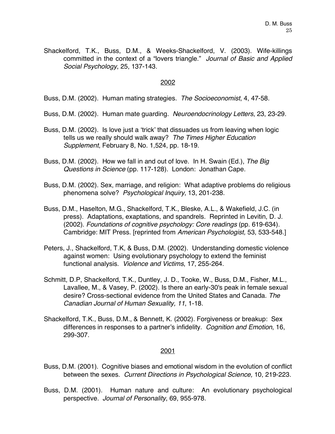Shackelford, T.K., Buss, D.M., & Weeks-Shackelford, V. (2003). Wife-killings committed in the context of a "lovers triangle." *Journal of Basic and Applied Social Psychology*, 25, 137-143.

#### 2002

Buss, D.M. (2002). Human mating strategies. *The Socioeconomist*, 4, 47-58.

- Buss, D.M. (2002). Human mate guarding. *Neuroendocrinology Letters*, 23, 23-29.
- Buss, D.M. (2002). Is love just a 'trick' that dissuades us from leaving when logic tells us we really should walk away? *The Times Higher Education Supplement*, February 8, No. 1,524, pp. 18-19.
- Buss, D.M. (2002). How we fall in and out of love. In H. Swain (Ed.), *The Big Questions in Science* (pp. 117-128). London: Jonathan Cape.
- Buss, D.M. (2002). Sex, marriage, and religion: What adaptive problems do religious phenomena solve? *Psychological Inquiry*, 13, 201-238.
- Buss, D.M., Haselton, M.G., Shackelford, T.K., Bleske, A.L., & Wakefield, J.C. (in press). Adaptations, exaptations, and spandrels. Reprinted in Levitin, D. J. (2002). *Foundations of cognitive psychology: Core readings* (pp. 619-634). Cambridge: MIT Press. [reprinted from *American Psychologist,* 53, 533-548.]
- Peters, J., Shackelford, T.K, & Buss, D.M. (2002). Understanding domestic violence against women: Using evolutionary psychology to extend the feminist functional analysis. *Violence and Victims*, 17, 255-264.
- Schmitt, D.P, Shackelford, T.K., Duntley, J. D., Tooke, W., Buss, D.M., Fisher, M.L., Lavallee, M., & Vasey, P. (2002). Is there an early-30's peak in female sexual desire? Cross-sectional evidence from the United States and Canada. *The Canadian Journal of Human Sexuality, 11*, 1-18.
- Shackelford, T.K., Buss, D.M., & Bennett, K. (2002). Forgiveness or breakup: Sex differences in responses to a partner's infidelity. *Cognition and Emotion*, 16, 299-307.

- Buss, D.M. (2001). Cognitive biases and emotional wisdom in the evolution of conflict between the sexes. *Current Directions in Psychological Science,* 10, 219-223.
- Buss, D.M. (2001). Human nature and culture: An evolutionary psychological perspective. *Journal of Personality*, 69, 955-978.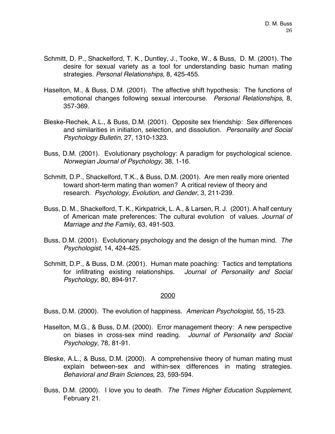- Schmitt, D. P., Shackelford, T. K., Duntley, J., Tooke, W., & Buss, D. M. (2001). The desire for sexual variety as a tool for understanding basic human mating strategies. *Personal Relationships*, 8, 425-455.
- Haselton, M., & Buss, D.M. (2001). The affective shift hypothesis: The functions of emotional changes following sexual intercourse. *Personal Relationships*, 8, 357-369.
- Bleske-Rechek, A.L., & Buss, D.M. (2001). Opposite sex friendship: Sex differences and similarities in initiation, selection, and dissolution. *Personality and Social Psychology Bulletin*, 27, 1310-1323.
- Buss, D.M. (2001). Evolutionary psychology: A paradigm for psychological science. *Norwegian Journal of Psychology*, 38, 1-16.
- Schmitt, D.P., Shackelford, T.K., & Buss, D.M. (2001). Are men really more oriented toward short-term mating than women? A critical review of theory and research. *Psychology, Evolution, and Gender*, 3, 211-239.
- Buss, D. M., Shackelford, T. K., Kirkpatrick, L. A., & Larsen, R. J. (2001). A half century of American mate preferences: The cultural evolution of values. *Journal of Marriage and the Family*, 63, 491-503.
- Buss, D.M. (2001). Evolutionary psychology and the design of the human mind. *The Psychologist*, 14, 424-425.
- Schmitt, D.P., & Buss, D.M. (2001). Human mate poaching: Tactics and temptations for infiltrating existing relationships. *Journal of Personality and Social Psychology*, 80, 894-917.

Buss, D.M. (2000). The evolution of happiness. *American Psychologist*, 55, 15-23.

- Haselton, M.G., & Buss, D.M. (2000). Error management theory: A new perspective on biases in cross-sex mind reading. *Journal of Personality and Social Psychology*, 78, 81-91.
- Bleske, A.L., & Buss, D.M. (2000). A comprehensive theory of human mating must explain between-sex and within-sex differences in mating strategies. *Behavioral and Brain Sciences,* 23, 593-594.
- Buss, D.M. (2000). I love you to death. *The Times Higher Education Supplement*, February 21.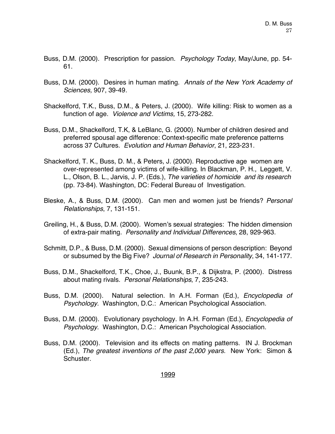- Buss, D.M. (2000). Prescription for passion. *Psychology Today*, May/June, pp. 54- 61.
- Buss, D.M. (2000). Desires in human mating. *Annals of the New York Academy of Sciences,* 907, 39-49*.*
- Shackelford, T.K., Buss, D.M., & Peters, J. (2000). Wife killing: Risk to women as a function of age. *Violence and Victims,* 15, 273-282.
- Buss, D.M., Shackelford, T.K, & LeBlanc, G. (2000). Number of children desired and preferred spousal age difference: Context-specific mate preference patterns across 37 Cultures. *Evolution and Human Behavior*, 21, 223-231.
- Shackelford, T. K., Buss, D. M., & Peters, J. (2000). Reproductive age women are over-represented among victims of wife-killing. In Blackman, P. H., Leggett, V. L., Olson, B. L., Jarvis, J. P. (Eds.), *The varieties of homicide and its research* (pp. 73-84). Washington, DC: Federal Bureau of Investigation.
- Bleske, A., & Buss, D.M. (2000). Can men and women just be friends? *Personal Relationships*, 7, 131-151.
- Greiling, H., & Buss, D.M. (2000). Women's sexual strategies: The hidden dimension of extra-pair mating. *Personality and Individual Differences*, 28, 929-963.
- Schmitt, D.P., & Buss, D.M. (2000). Sexual dimensions of person description: Beyond or subsumed by the Big Five? *Journal of Research in Personality*, 34, 141-177.
- Buss, D.M., Shackelford, T.K., Choe, J., Buunk, B.P., & Dijkstra, P. (2000). Distress about mating rivals. *Personal Relationships*, 7, 235-243.
- Buss, D.M. (2000). Natural selection. In A.H. Forman (Ed.), *Encyclopedia of Psychology*. Washington, D.C.: American Psychological Association.
- Buss, D.M. (2000). Evolutionary psychology. In A.H. Forman (Ed.), *Encyclopedia of Psychology*. Washington, D.C.: American Psychological Association.
- Buss, D.M. (2000). Television and its effects on mating patterns. IN J. Brockman (Ed.), *The greatest inventions of the past 2,000 years.* New York: Simon & Schuster.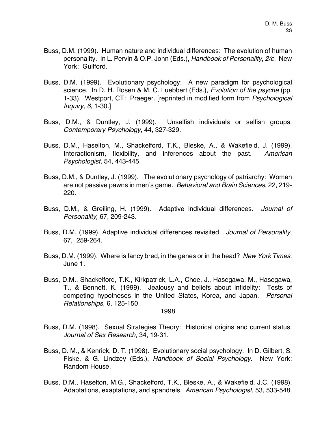- Buss, D.M. (1999). Human nature and individual differences: The evolution of human personality. In L. Pervin & O.P. John (Eds.), *Handbook of Personality*, *2/e*. New York: Guilford.
- Buss, D.M. (1999). Evolutionary psychology: A new paradigm for psychological science. In D. H. Rosen & M. C. Luebbert (Eds.), *Evolution of the psyche* (pp. 1-33). Westport, CT: Praeger. [reprinted in modified form from *Psychological Inquiry, 6*, 1-30.]
- Buss, D.M., & Duntley, J. (1999). Unselfish individuals or selfish groups. *Contemporary Psychology*, 44, 327-329.
- Buss, D.M., Haselton, M., Shackelford, T.K., Bleske, A., & Wakefield, J. (1999). Interactionism, flexibility, and inferences about the past. *American Psychologist*, 54, 443-445.
- Buss, D.M., & Duntley, J. (1999). The evolutionary psychology of patriarchy: Women are not passive pawns in men's game. *Behavioral and Brain Sciences*, 22, 219- 220.
- Buss, D.M., & Greiling, H. (1999). Adaptive individual differences. *Journal of Personality,* 67, 209-243.
- Buss, D.M. (1999). Adaptive individual differences revisited. *Journal of Personality*, 67, 259-264.
- Buss, D.M. (1999). Where is fancy bred, in the genes or in the head? *New York Times,* June 1.
- Buss, D.M., Shackelford, T.K., Kirkpatrick, L.A., Choe, J., Hasegawa, M., Hasegawa, T., & Bennett, K. (1999). Jealousy and beliefs about infidelity: Tests of competing hypotheses in the United States, Korea, and Japan. *Personal Relationships*, 6, 125-150.

- Buss, D.M. (1998). Sexual Strategies Theory: Historical origins and current status. *Journal of Sex Research*, 34, 19-31.
- Buss, D. M., & Kenrick, D. T. (1998). Evolutionary social psychology. In D. Gilbert, S. Fiske, & G. Lindzey (Eds.), *Handbook of Social Psychology*. New York: Random House.
- Buss, D.M., Haselton, M.G., Shackelford, T.K., Bleske, A., & Wakefield, J.C. (1998). Adaptations, exaptations, and spandrels. *American Psychologist*, 53, 533-548.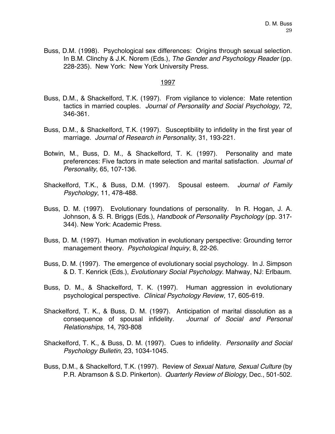Buss, D.M. (1998). Psychological sex differences: Origins through sexual selection. In B.M. Clinchy & J.K. Norem (Eds.), *The Gender and Psychology Reader* (pp. 228-235). New York: New York University Press.

- Buss, D.M., & Shackelford, T.K. (1997). From vigilance to violence: Mate retention tactics in married couples. *Journal of Personality and Social Psychology*, 72, 346-361.
- Buss, D.M., & Shackelford, T.K. (1997). Susceptibility to infidelity in the first year of marriage. *Journal of Research in Personality*, 31, 193-221.
- Botwin, M., Buss, D. M., & Shackelford, T. K. (1997). Personality and mate preferences: Five factors in mate selection and marital satisfaction. *Journal of Personality*, 65, 107-136.
- Shackelford, T.K., & Buss, D.M. (1997). Spousal esteem. *Journal of Family Psychology*, 11, 478-488.
- Buss, D. M. (1997). Evolutionary foundations of personality. In R. Hogan, J. A. Johnson, & S. R. Briggs (Eds.), *Handbook of Personality Psychology* (pp. 317- 344). New York: Academic Press.
- Buss, D. M. (1997). Human motivation in evolutionary perspective: Grounding terror management theory. *Psychological Inquiry*, 8, 22-26.
- Buss, D. M. (1997). The emergence of evolutionary social psychology. In J. Simpson & D. T. Kenrick (Eds.), *Evolutionary Social Psychology*. Mahway, NJ: Erlbaum.
- Buss, D. M., & Shackelford, T. K. (1997). Human aggression in evolutionary psychological perspective. *Clinical Psychology Review*, 17, 605-619.
- Shackelford, T. K., & Buss, D. M. (1997). Anticipation of marital dissolution as a consequence of spousal infidelity. *Journal of Social and Personal Relationships*, 14, 793-808
- Shackelford, T. K., & Buss, D. M. (1997). Cues to infidelity. *Personality and Social Psychology Bulletin*, 23, 1034-1045.
- Buss, D.M., & Shackelford, T.K. (1997). Review of *Sexual Nature, Sexual Culture* (by P.R. Abramson & S.D. Pinkerton). *Quarterly Review of Biology*, Dec., 501-502.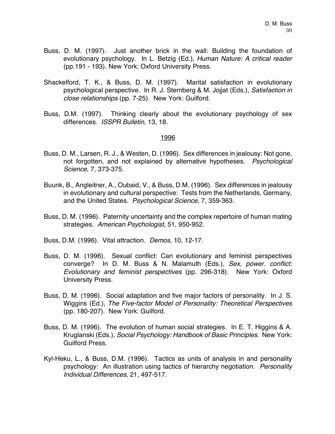- Buss, D. M. (1997). Just another brick in the wall: Building the foundation of evolutionary psychology. In L. Betzig (Ed.), *Human Nature: A critical reader* (pp.191 - 193). New York: Oxford University Press.
- Shackelford, T. K., & Buss, D. M. (1997). Marital satisfaction in evolutionary psychological perspective. In R. J. Sternberg & M. Jojjat (Eds.), *Satisfaction in close relationships* (pp. 7-25). New York: Guilford.
- Buss, D.M. (1997). Thinking clearly about the evolutionary psychology of sex differences. *ISSPR Bulletin*, 13, 18.

- Buss, D. M., Larsen, R. J., & Westen, D. (1996). Sex differences in jealousy: Not gone, not forgotten, and not explained by alternative hypotheses. *Psychological Science*, 7, 373-375.
- Buunk, B., Angleitner, A., Oubaid, V., & Buss, D.M. (1996). Sex differences in jealousy in evolutionary and cultural perspective: Tests from the Netherlands, Germany, and the United States. *Psychological Science*, 7, 359-363.
- Buss, D. M. (1996). Paternity uncertainty and the complex repertoire of human mating strategies. *American Psychologist*, 51, 950-952.
- Buss, D.M. (1996). Vital attraction. *Demos*, 10, 12-17.
- Buss, D. M. (1996). Sexual conflict: Can evolutionary and feminist perspectives converge? In D. M. Buss & N. Malamuth (Eds.), *Sex, power. conflict: Evolutionary and feminist perspectives* (pp. 296-318). New York: Oxford University Press.
- Buss, D. M. (1996). Social adaptation and five major factors of personality. In J. S. Wiggins (Ed.), *The Five-factor Model of Personality: Theoretical Perspectives* (pp. 180-207). New York: Guilford.
- Buss, D. M. (1996). The evolution of human social strategies. In E. T. Higgins & A. Kruglanski (Eds.), *Social Psychology: Handbook of Basic Principles*. New York: Guilford Press.
- Kyl-Heku, L., & Buss, D.M. (1996). Tactics as units of analysis in and personality psychology: An illustration using tactics of hierarchy negotiation. *Personality Individual Differences*, 21, 497-517.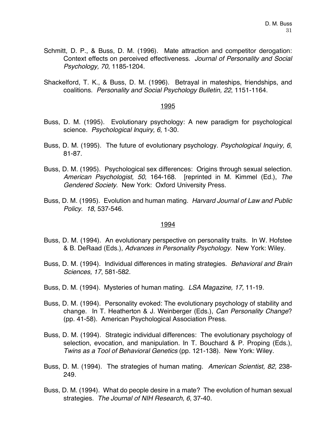- Schmitt, D. P., & Buss, D. M. (1996). Mate attraction and competitor derogation: Context effects on perceived effectiveness. *Journal of Personality and Social Psychology, 70*, 1185-1204.
- Shackelford, T. K., & Buss, D. M. (1996). Betrayal in mateships, friendships, and coalitions. *Personality and Social Psychology Bulletin, 22*, 1151-1164.

- Buss, D. M. (1995). Evolutionary psychology: A new paradigm for psychological science. *Psychological Inquiry, 6*, 1-30.
- Buss, D. M. (1995). The future of evolutionary psychology. *Psychological Inquiry, 6*, 81-87.
- Buss, D. M. (1995). Psychological sex differences: Origins through sexual selection. *American Psychologist, 50*, 164-168. [reprinted in M. Kimmel (Ed.), *The Gendered Society*. New York: Oxford University Press.
- Buss, D. M. (1995). Evolution and human mating. *Harvard Journal of Law and Public Policy. 18*, 537-546.

- Buss, D. M. (1994). An evolutionary perspective on personality traits. In W. Hofstee & B. DeRaad (Eds.), *Advances in Personality Psychology*. New York: Wiley.
- Buss, D. M. (1994). Individual differences in mating strategies. *Behavioral and Brain Sciences, 17*, 581-582.
- Buss, D. M. (1994). Mysteries of human mating. *LSA Magazine, 17,* 11-19.
- Buss, D. M. (1994). Personality evoked: The evolutionary psychology of stability and change. In T. Heatherton & J. Weinberger (Eds.), *Can Personality Change*? (pp. 41-58). American Psychological Association Press.
- Buss, D. M. (1994). Strategic individual differences: The evolutionary psychology of selection, evocation, and manipulation. In T. Bouchard & P. Proping (Eds.), *Twins as a Tool of Behavioral Genetics* (pp. 121-138). New York: Wiley.
- Buss, D. M. (1994). The strategies of human mating. *American Scientist, 82,* 238- 249.
- Buss, D. M. (1994). What do people desire in a mate? The evolution of human sexual strategies. *The Journal of NIH Research, 6*, 37-40.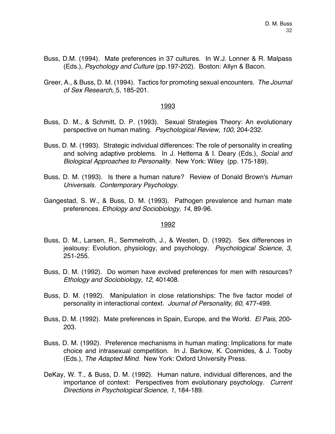- Buss, D.M. (1994). Mate preferences in 37 cultures. In W.J. Lonner & R. Malpass (Eds.), *Psychology and Culture* (pp.197-202). Boston: Allyn & Bacon.
- Greer, A., & Buss, D. M. (1994). Tactics for promoting sexual encounters. *The Journal of Sex Research,* 5, 185-201.

- Buss, D. M., & Schmitt, D. P. (1993). Sexual Strategies Theory: An evolutionary perspective on human mating. *Psychological Review, 100*, 204-232.
- Buss, D. M. (1993). Strategic individual differences: The role of personality in creating and solving adaptive problems. In J. Hettema & I. Deary (Eds.), *Social and Biological Approaches to Personality.* New York: Wiley (pp. 175-189).
- Buss, D. M. (1993). Is there a human nature? Review of Donald Brown's *Human Universals. Contemporary Psychology.*
- Gangestad, S. W., & Buss, D. M. (1993). Pathogen prevalence and human mate preferences. *Ethology and Sociobiology, 14*, 89-96.

- Buss, D. M., Larsen, R., Semmelroth, J., & Westen, D. (1992). Sex differences in jealousy: Evolution, physiology, and psychology. *Psychological Science, 3*, 251-255.
- Buss, D. M. (1992). Do women have evolved preferences for men with resources? *Ethology and Sociobiology, 12,* 401408.
- Buss, D. M. (1992). Manipulation in close relationships: The five factor model of personality in interactional context. *Journal of Personality, 60,* 477-499.
- Buss, D. M. (1992). Mate preferences in Spain, Europe, and the World. *El Pais,* 200- 203.
- Buss, D. M. (1992). Preference mechanisms in human mating: Implications for mate choice and intrasexual competition. In J. Barkow, K. Cosmides, & J. Tooby (Eds.), *The Adapted Mind*. New York: Oxford University Press.
- DeKay, W. T., & Buss, D. M. (1992). Human nature, individual differences, and the importance of context: Perspectives from evolutionary psychology. *Current Directions in Psychological Science, 1,* 184-189.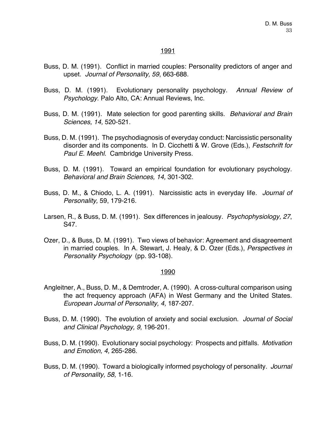- Buss, D. M. (1991). Conflict in married couples: Personality predictors of anger and upset. *Journal of Personality, 59*, 663-688.
- Buss, D. M. (1991). Evolutionary personality psychology. *Annual Review of Psychology*. Palo Alto, CA: Annual Reviews, Inc.
- Buss, D. M. (1991). Mate selection for good parenting skills. *Behavioral and Brain Sciences, 14,* 520-521.
- Buss, D. M. (1991). The psychodiagnosis of everyday conduct: Narcissistic personality disorder and its components. In D. Cicchetti & W. Grove (Eds.), *Festschrift for Paul E. Meehl.* Cambridge University Press.
- Buss, D. M. (1991). Toward an empirical foundation for evolutionary psychology. *Behavioral and Brain Sciences, 14,* 301-302.
- Buss, D. M., & Chiodo, L. A. (1991). Narcissistic acts in everyday life. *Journal of Personality,* 59, 179-216*.*
- Larsen, R., & Buss, D. M. (1991). Sex differences in jealousy. *Psychophysiology, 27*, S47.
- Ozer, D., & Buss, D. M. (1991). Two views of behavior: Agreement and disagreement in married couples. In A. Stewart, J. Healy, & D. Ozer (Eds.), *Perspectives in Personality Psychology* (pp. 93-108).

- Angleitner, A., Buss, D. M., & Demtroder, A. (1990). A cross-cultural comparison using the act frequency approach (AFA) in West Germany and the United States. *European Journal of Personality, 4,* 187-207.
- Buss, D. M. (1990). The evolution of anxiety and social exclusion. *Journal of Social and Clinical Psychology, 9*, 196-201.
- Buss, D. M. (1990). Evolutionary social psychology: Prospects and pitfalls. *Motivation and Emotion, 4,* 265-286.
- Buss, D. M. (1990). Toward a biologically informed psychology of personality. *Journal of Personality, 58*, 1-16.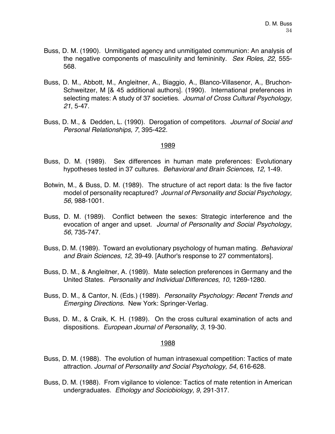- Buss, D. M. (1990). Unmitigated agency and unmitigated communion: An analysis of the negative components of masculinity and femininity. *Sex Roles, 22*, 555- 568.
- Buss, D. M., Abbott, M., Angleitner, A., Biaggio, A., Blanco-Villasenor, A., Bruchon-Schweitzer, M [& 45 additional authors]. (1990). International preferences in selecting mates: A study of 37 societies. *Journal of Cross Cultural Psychology, 21*, 5-47.
- Buss, D. M., & Dedden, L. (1990). Derogation of competitors. *Journal of Social and Personal Relationships, 7*, 395-422.

- Buss, D. M. (1989). Sex differences in human mate preferences: Evolutionary hypotheses tested in 37 cultures. *Behavioral and Brain Sciences, 12,* 1-49.
- Botwin, M., & Buss, D. M. (1989). The structure of act report data: Is the five factor model of personality recaptured? *Journal of Personality and Social Psychology, 56,* 988-1001.
- Buss, D. M. (1989). Conflict between the sexes: Strategic interference and the evocation of anger and upset. *Journal of Personality and Social Psychology*, *56*, 735-747.
- Buss, D. M. (1989). Toward an evolutionary psychology of human mating. *Behavioral and Brain Sciences, 12*, 39-49. [Author's response to 27 commentators].
- Buss, D. M., & Angleitner, A. (1989). Mate selection preferences in Germany and the United States. *Personality and Individual Differences, 10,* 1269-1280.
- Buss, D. M., & Cantor, N. (Eds.) (1989). *Personality Psychology: Recent Trends and Emerging Directions.* New York: Springer-Verlag.
- Buss, D. M., & Craik, K. H. (1989). On the cross cultural examination of acts and dispositions. *European Journal of Personality, 3,* 19-30.

- Buss, D. M. (1988). The evolution of human intrasexual competition: Tactics of mate attraction. *Journal of Personality and Social Psychology, 54*, 616-628.
- Buss, D. M. (1988). From vigilance to violence: Tactics of mate retention in American undergraduates. *Ethology and Sociobiology, 9*, 291-317.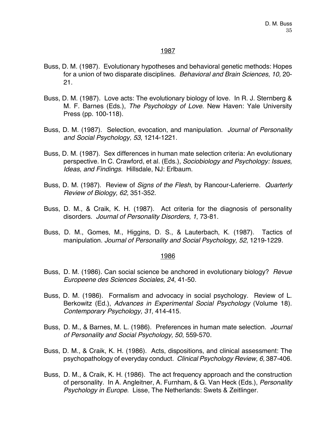- Buss, D. M. (1987). Evolutionary hypotheses and behavioral genetic methods: Hopes for a union of two disparate disciplines. *Behavioral and Brain Sciences, 10,* 20- 21.
- Buss, D. M. (1987). Love acts: The evolutionary biology of love. In R. J. Sternberg & M. F. Barnes (Eds.), *The Psychology of Love*. New Haven: Yale University Press (pp. 100-118).
- Buss, D. M. (1987). Selection, evocation, and manipulation. *Journal of Personality and Social Psychology, 53*, 1214-1221.
- Buss, D. M. (1987). Sex differences in human mate selection criteria: An evolutionary perspective. In C. Crawford, et al. (Eds.), *Sociobiology and Psychology: Issues, Ideas, and Findings.* Hillsdale, NJ: Erlbaum.
- Buss, D. M. (1987). Review of *Signs of the Flesh*, by Rancour-Laferierre. *Quarterly Review of Biology, 62,* 351-352.
- Buss, D. M., & Craik, K. H. (1987). Act criteria for the diagnosis of personality disorders. *Journal of Personality Disorders, 1*, 73-81.
- Buss, D. M., Gomes, M., Higgins, D. S., & Lauterbach, K. (1987). Tactics of manipulation. *Journal of Personality and Social Psychology, 52*, 1219-1229.

- Buss, D. M. (1986). Can social science be anchored in evolutionary biology? *Revue Europeene des Sciences Sociales, 24*, 41-50.
- Buss, D. M. (1986). Formalism and advocacy in social psychology. Review of L. Berkowitz (Ed.), *Advances in Experimental Social Psychology* (Volume 18). *Contemporary Psychology, 31,* 414-415.
- Buss, D. M., & Barnes, M. L. (1986). Preferences in human mate selection. *Journal of Personality and Social Psychology, 50*, 559-570*.*
- Buss, D. M., & Craik, K. H. (1986). Acts, dispositions, and clinical assessment: The psychopathology of everyday conduct. *Clinical Psychology Review, 6,* 387-406.
- Buss, D. M., & Craik, K. H. (1986). The act frequency approach and the construction of personality. In A. Angleitner, A. Furnham, & G. Van Heck (Eds.), *Personality Psychology in Europe.* Lisse, The Netherlands: Swets & Zeitlinger.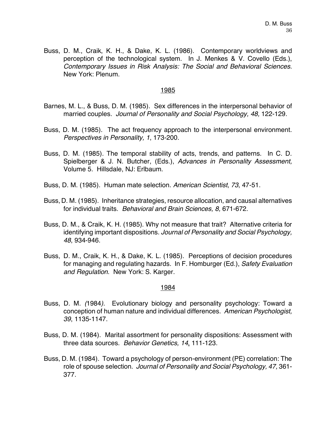Buss, D. M., Craik, K. H., & Dake, K. L. (1986). Contemporary worldviews and perception of the technological system. In J. Menkes & V. Covello (Eds.), *Contemporary Issues in Risk Analysis: The Social and Behavioral Sciences.* New York: Plenum.

#### 1985

- Barnes, M. L., & Buss, D. M. (1985). Sex differences in the interpersonal behavior of married couples. *Journal of Personality and Social Psychology, 48,* 122-129.
- Buss, D. M. (1985). The act frequency approach to the interpersonal environment. *Perspectives in Personality, 1*, 173-200.
- Buss, D. M. (1985)*.* The temporal stability of acts, trends, and patterns. In C. D. Spielberger & J. N. Butcher, (Eds.), *Advances in Personality Assessment,* Volume 5. Hillsdale, NJ: Erlbaum.
- Buss, D. M. (1985). Human mate selection. *American Scientist*, *73*, 47-51.
- Buss, D. M. (1985). Inheritance strategies, resource allocation, and causal alternatives for individual traits. *Behavioral and Brain Sciences, 8,* 671-672.
- Buss, D. M., & Craik, K. H. (1985). Why not measure that trait? Alternative criteria for identifying important dispositions. *Journal of Personality and Social Psychology, 48*, 934-946.
- Buss, D. M., Craik, K. H., & Dake, K. L. (1985). Perceptions of decision procedures for managing and regulating hazards. In F. Homburger (Ed.), *Safety Evaluation and Regulation*. New York: S. Karger.

- Buss, D. M. *(*1984*).* Evolutionary biology and personality psychology: Toward a conception of human nature and individual differences. *American Psychologist, 39*, 1135-1147.
- Buss, D. M. (1984). Marital assortment for personality dispositions: Assessment with three data sources. *Behavior Genetics, 14*, 111-123.
- Buss, D. M. (1984). Toward a psychology of person-environment (PE) correlation: The role of spouse selection. *Journal of Personality and Social Psychology, 47,* 361- 377.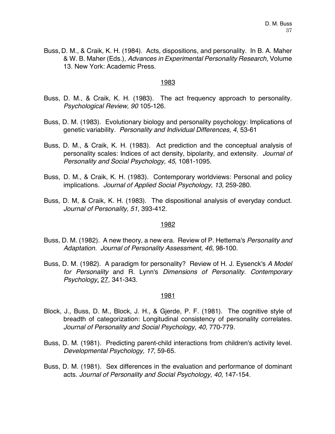Buss, D. M., & Craik, K. H. (1984). Acts, dispositions, and personality. In B. A. Maher & W. B. Maher (Eds.), *Advances in Experimental Personality Research*, Volume 13. New York: Academic Press.

#### 1983

- Buss, D. M., & Craik, K. H. (1983). The act frequency approach to personality. *Psychological Review, 90* 105-126.
- Buss, D. M. (1983). Evolutionary biology and personality psychology: Implications of genetic variability. *Personality and Individual Differences, 4*, 53-61
- Buss, D. M., & Craik, K. H. (1983). Act prediction and the conceptual analysis of personality scales: Indices of act density, bipolarity, and extensity. *Journal of Personality and Social Psychology, 45*, 1081-1095.
- Buss, D. M., & Craik, K. H. (1983). Contemporary worldviews: Personal and policy implications. *Journal of Applied Social Psychology, 13*, 259-280.
- Buss, D. M, & Craik, K. H. (1983). The dispositional analysis of everyday conduct. *Journal of Personality, 51*, 393-412.

# 1982

- Buss, D. M. (1982). A new theory, a new era. Review of P. Hettema's *Personality and Adaptation. Journal of Personality Assessment, 46*, 98-100.
- Buss, D. M. (1982). A paradigm for personality? Review of H. J. Eysenck's *A Model for Personality* and R. Lynn's *Dimensions of Personality. Contemporary Psychology*, 27, 341-343.

- Block, J., Buss, D. M., Block, J. H., & Gjerde, P. F. (1981). The cognitive style of breadth of categorization: Longitudinal consistency of personality correlates. *Journal of Personality and Social Psychology, 40,* 770-779.
- Buss, D. M. (1981). Predicting parent-child interactions from children's activity level. *Developmental Psychology, 17*, 59-65.
- Buss, D. M. (1981). Sex differences in the evaluation and performance of dominant acts. *Journal of Personality and Social Psychology, 40*, 147-154.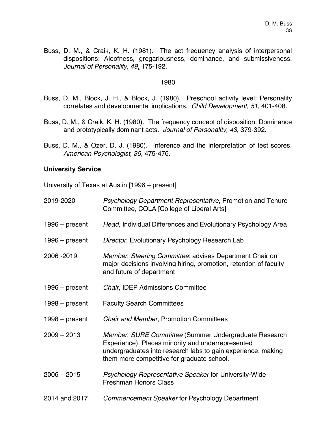Buss, D. M., & Craik, K. H. (1981). The act frequency analysis of interpersonal dispositions: Aloofness, gregariousness, dominance, and submissiveness. *Journal of Personality, 49*, 175-192.

# 1980

- Buss, D. M., Block, J. H., & Block, J. (1980). Preschool activity level: Personality correlates and developmental implications. *Child Development, 51*, 401-408.
- Buss, D. M., & Craik, K. H. (1980). The frequency concept of disposition: Dominance and prototypically dominant acts. *Journal of Personality, 43*, 379-392.
- Buss, D. M., & Ozer, D. J. (1980). Inference and the interpretation of test scores. *American Psychologist, 35*, 475-476.

# **University Service**

University of Texas at Austin [1996 – present]

| 2019-2020        | Psychology Department Representative, Promotion and Tenure<br>Committee, COLA [College of Liberal Arts]                                                                                                                  |
|------------------|--------------------------------------------------------------------------------------------------------------------------------------------------------------------------------------------------------------------------|
| $1996 - present$ | Head, Individual Differences and Evolutionary Psychology Area                                                                                                                                                            |
| $1996 - present$ | Director, Evolutionary Psychology Research Lab                                                                                                                                                                           |
| 2006 - 2019      | Member, Steering Committee: advises Department Chair on<br>major decisions involving hiring, promotion, retention of faculty<br>and future of department                                                                 |
| $1996 - present$ | Chair, IDEP Admissions Committee                                                                                                                                                                                         |
| $1998 - present$ | <b>Faculty Search Committees</b>                                                                                                                                                                                         |
| $1998 - present$ | <b>Chair and Member, Promotion Committees</b>                                                                                                                                                                            |
| $2009 - 2013$    | Member, SURE Committee (Summer Undergraduate Research<br>Experience). Places minority and underrepresented<br>undergraduates into research labs to gain experience, making<br>them more competitive for graduate school. |
| $2006 - 2015$    | <b>Psychology Representative Speaker for University-Wide</b><br><b>Freshman Honors Class</b>                                                                                                                             |
| 2014 and 2017    | Commencement Speaker for Psychology Department                                                                                                                                                                           |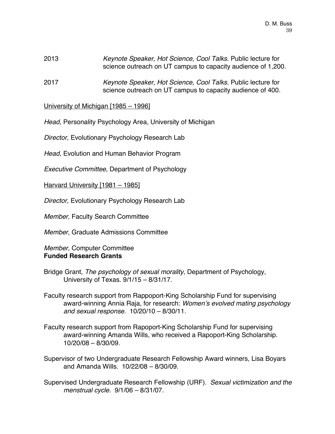- 2013 *Keynote Speaker, Hot Science, Cool Talks*. Public lecture for science outreach on UT campus to capacity audience of 1,200.
- 2017 *Keynote Speaker, Hot Science, Cool Talks*. Public lecture for science outreach on UT campus to capacity audience of 400.

University of Michigan [1985 – 1996]

*Head*, Personality Psychology Area, University of Michigan

*Director*, Evolutionary Psychology Research Lab

*Head*, Evolution and Human Behavior Program

*Executive Committee*, Department of Psychology

Harvard University [1981 – 1985]

*Director,* Evolutionary Psychology Research Lab

*Member,* Faculty Search Committee

*Member*, Graduate Admissions Committee

*Member*, Computer Committee **Funded Research Grants**

- Bridge Grant, *The psychology of sexual morality*, Department of Psychology, University of Texas. 9/1/15 – 8/31/17.
- Faculty research support from Rappoport-King Scholarship Fund for supervising award-winning Annia Raja, for research: *Women's evolved mating psychology and sexual response*. 10/20/10 – 8/30/11.
- Faculty research support from Rapoport-King Scholarship Fund for supervising award-winning Amanda Wills, who received a Rapoport-King Scholarship. 10/20/08 – 8/30/09.
- Supervisor of two Undergraduate Research Fellowship Award winners, Lisa Boyars and Amanda Wills. 10/22/08 – 8/30/09.
- Supervised Undergraduate Research Fellowship (URF). *Sexual victimization and the menstrual cycle.* 9/1/06 – 8/31/07.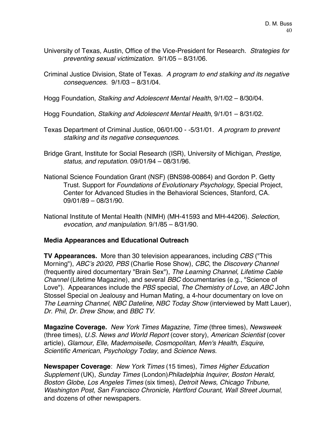- University of Texas, Austin, Office of the Vice-President for Research. *Strategies for preventing sexual victimization.* 9/1/05 – 8/31/06.
- Criminal Justice Division, State of Texas. *A program to end stalking and its negative consequences.* 9/1/03 – 8/31/04.

Hogg Foundation, *Stalking and Adolescent Mental Health*, 9/1/02 – 8/30/04.

Hogg Foundation, *Stalking and Adolescent Mental Health*, 9/1/01 – 8/31/02.

- Texas Department of Criminal Justice, 06/01/00 -5/31/01. *A program to prevent stalking and its negative consequences*.
- Bridge Grant, Institute for Social Research (ISR), University of Michigan, *Prestige, status, and reputation*. 09/01/94 – 08/31/96.
- National Science Foundation Grant (NSF) (BNS98-00864) and Gordon P. Getty Trust. Support for *Foundations of Evolutionary Psychology*, Special Project, Center for Advanced Studies in the Behavioral Sciences, Stanford, CA. 09/01/89 – 08/31/90.
- National Institute of Mental Health (NIMH) (MH-41593 and MH-44206). *Selection, evocation, and manipulation*. 9/1/85 – 8/31/90.

# **Media Appearances and Educational Outreach**

**TV Appearances.** More than 30 television appearances, including *CBS* ("This Morning"), *ABC's 20/20, PBS* (Charlie Rose Show), *CBC*, the *Discovery Channel* (frequently aired documentary "Brain Sex"), *The Learning Channel, Lifetime Cable Channel* (Lifetime Magazine), and several *BBC* documentaries (e.g., "Science of Love"). Appearances include the *PBS* special, *The Chemistry of Love*, an *ABC* John Stossel Special on Jealousy and Human Mating, a 4-hour documentary on love on *The Learning Channel, NBC Dateline, NBC Today Show* (interviewed by Matt Lauer), *Dr. Phil*, *Dr. Drew Show*, and *BBC TV*.

**Magazine Coverage.** *New York Times Magazine, Time* (three times), *Newsweek* (three times), *U.S. News and World Report* (cover story), *American Scientist* (cover article), *Glamour, Elle, Mademoiselle, Cosmopolitan, Men's Health, Esquire, Scientific American*, *Psychology Today*, and *Science News*.

**Newspaper Coverage**: *New York Times* (15 times), *Times Higher Education Supplement* (UK), *Sunday Times* (London)*Philadelphia Inquirer, Boston Herald, Boston Globe, Los Angeles Times* (six times), *Detroit News, Chicago Tribune, Washington Post, San Francisco Chronicle, Hartford Courant*, *Wall Street Journal*, and dozens of other newspapers.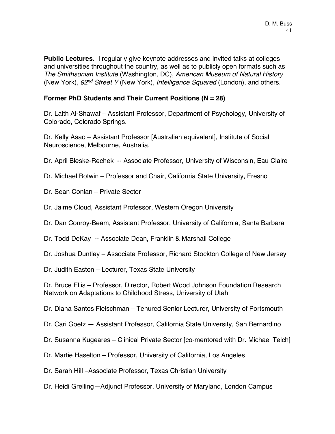**Public Lectures.** I regularly give keynote addresses and invited talks at colleges and universities throughout the country, as well as to publicly open formats such as *The Smithsonian Institute* (Washington, DC), *American Museum of Natural History* (New York), *92nd Street Y* (New York), *Intelligence Squared* (London), and others.

# **Former PhD Students and Their Current Positions (N = 28)**

Dr. Laith Al-Shawaf – Assistant Professor, Department of Psychology, University of Colorado, Colorado Springs.

Dr. Kelly Asao – Assistant Professor [Australian equivalent], Institute of Social Neuroscience, Melbourne, Australia.

Dr. April Bleske-Rechek -- Associate Professor, University of Wisconsin, Eau Claire

- Dr. Michael Botwin Professor and Chair, California State University, Fresno
- Dr. Sean Conlan Private Sector
- Dr. Jaime Cloud, Assistant Professor, Western Oregon University
- Dr. Dan Conroy-Beam, Assistant Professor, University of California, Santa Barbara
- Dr. Todd DeKay -- Associate Dean, Franklin & Marshall College
- Dr. Joshua Duntley Associate Professor, Richard Stockton College of New Jersey
- Dr. Judith Easton Lecturer, Texas State University

Dr. Bruce Ellis – Professor, Director, Robert Wood Johnson Foundation Research Network on Adaptations to Childhood Stress, University of Utah

Dr. Diana Santos Fleischman – Tenured Senior Lecturer, University of Portsmouth

Dr. Cari Goetz — Assistant Professor, California State University, San Bernardino

Dr. Susanna Kugeares – Clinical Private Sector [co-mentored with Dr. Michael Telch]

- Dr. Martie Haselton Professor, University of California, Los Angeles
- Dr. Sarah Hill –Associate Professor, Texas Christian University
- Dr. Heidi Greiling—Adjunct Professor, University of Maryland, London Campus